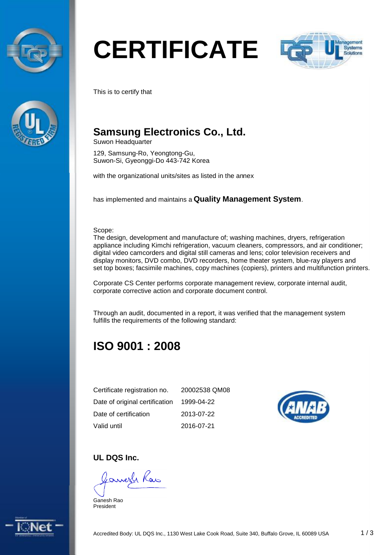



# **CERTIFICATE**



This is to certify that

# **Samsung Electronics Co., Ltd.**

Suwon Headquarter

129, Samsung-Ro, Yeongtong-Gu, Suwon-Si, Gyeonggi-Do 443-742 Korea

with the organizational units/sites as listed in the annex

has implemented and maintains a **Quality Management System**.

Scope:

The design, development and manufacture of; washing machines, dryers, refrigeration appliance including Kimchi refrigeration, vacuum cleaners, compressors, and air conditioner; digital video camcorders and digital still cameras and lens; color television receivers and display monitors, DVD combo, DVD recorders, home theater system, blue-ray players and set top boxes; facsimile machines, copy machines (copiers), printers and multifunction printers.

Corporate CS Center performs corporate management review, corporate internal audit, corporate corrective action and corporate document control.

Through an audit, documented in a report, it was verified that the management system fulfills the requirements of the following standard:

# **ISO 9001 : 2008**

| Certificate registration no.   | 20002538 QM08 |
|--------------------------------|---------------|
| Date of original certification | 1999-04-22    |
| Date of certification          | 2013-07-22    |
| Valid until                    | 2016-07-21    |



#### **UL DQS Inc.**

Janesh Raw

Ganesh Rao President

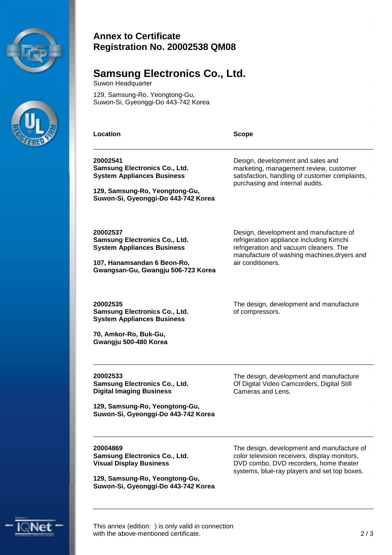



#### **Annex to Certificate Registration No. 20002538 QM08**

### **Samsung Electronics Co., Ltd.**

Suwon Headquarter

129, Samsung-Ro, Yeongtong-Gu, Suwon-Si, Gyeonggi-Do 443-742 Korea

**Location Scope**

Design, development and sales and marketing, management review, customer satisfaction, handling of customer complaints,

Design, development and manufacture of refrigeration appliance including Kimchi refrigeration and vacuum cleaners. The manufacture of washing machines,dryers and

purchasing and internal audits.

air conditioners.

of compressors.

**20002541 Samsung Electronics Co., Ltd. System Appliances Business** 

**129, Samsung-Ro, Yeongtong-Gu, Suwon-Si, Gyeonggi-Do 443-742 Korea** 

**20002537 Samsung Electronics Co., Ltd. System Appliances Business** 

**107, Hanamsandan 6 Beon-Ro, Gwangsan-Gu, Gwangju 506-723 Korea** 

**20002535 Samsung Electronics Co., Ltd. System Appliances Business** 

**70, Amkor-Ro, Buk-Gu, Gwangju 500-480 Korea** 

**20002533 Samsung Electronics Co., Ltd. Digital Imaging Business** 

**129, Samsung-Ro, Yeongtong-Gu, Suwon-Si, Gyeonggi-Do 443-742 Korea**  The design, development and manufacture Of Digital Video Camcorders, Digital Still Cameras and Lens.

The design, development and manufacture

**20004869 Samsung Electronics Co., Ltd. Visual Display Business** 

**129, Samsung-Ro, Yeongtong-Gu, Suwon-Si, Gyeonggi-Do 443-742 Korea**  The design, development and manufacture of color television receivers, display monitors, DVD combo, DVD recorders, home theater systems, blue-ray players and set top boxes.



This annex (edition: ) is only valid in connection with the above-mentioned certificate. 2/3